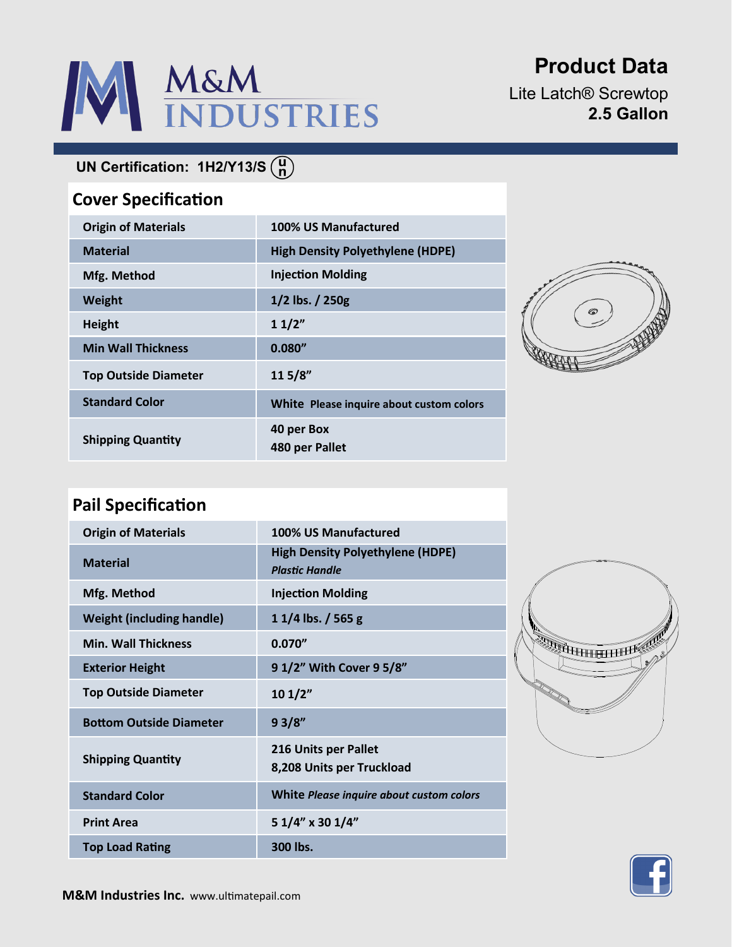# M&M<br>INDUSTRIES

# **Product Data**

Lite Latch® Screwtop **2.5 Gallon**

## **UN Certification: 1H2/Y13/S**

### **Cover Specification**

| <b>Origin of Materials</b>  | 100% US Manufactured                     |
|-----------------------------|------------------------------------------|
| <b>Material</b>             | <b>High Density Polyethylene (HDPE)</b>  |
| Mfg. Method                 | <b>Injection Molding</b>                 |
| <b>Weight</b>               | $1/2$ lbs. $/ 250g$                      |
| <b>Height</b>               | 11/2"                                    |
| <b>Min Wall Thickness</b>   | 0.080''                                  |
| <b>Top Outside Diameter</b> | 115/8"                                   |
| <b>Standard Color</b>       | White Please inquire about custom colors |
| <b>Shipping Quantity</b>    | 40 per Box<br>480 per Pallet             |



## **Pail Specification**

| <b>Origin of Materials</b>       | 100% US Manufactured                                             |
|----------------------------------|------------------------------------------------------------------|
| <b>Material</b>                  | <b>High Density Polyethylene (HDPE)</b><br><b>Plastic Handle</b> |
| Mfg. Method                      | <b>Injection Molding</b>                                         |
| <b>Weight (including handle)</b> | $11/4$ lbs. / 565 g                                              |
| <b>Min. Wall Thickness</b>       | 0.070''                                                          |
| <b>Exterior Height</b>           | 9 1/2" With Cover 9 5/8"                                         |
| <b>Top Outside Diameter</b>      | 101/2"                                                           |
| <b>Bottom Outside Diameter</b>   | 93/8"                                                            |
| <b>Shipping Quantity</b>         | 216 Units per Pallet<br>8,208 Units per Truckload                |
| <b>Standard Color</b>            | White Please inquire about custom colors                         |
| <b>Print Area</b>                | 5 1/4" x 30 1/4"                                                 |
| <b>Top Load Rating</b>           | 300 lbs.                                                         |